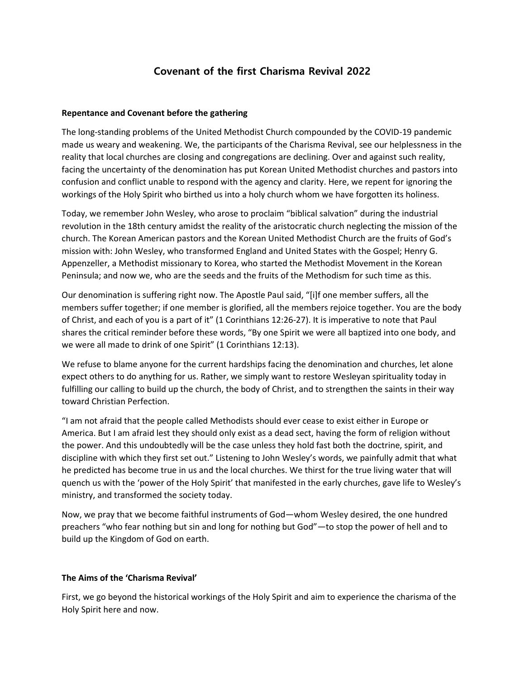## **Covenant of the first Charisma Revival 2022**

## **Repentance and Covenant before the gathering**

The long-standing problems of the United Methodist Church compounded by the COVID-19 pandemic made us weary and weakening. We, the participants of the Charisma Revival, see our helplessness in the reality that local churches are closing and congregations are declining. Over and against such reality, facing the uncertainty of the denomination has put Korean United Methodist churches and pastors into confusion and conflict unable to respond with the agency and clarity. Here, we repent for ignoring the workings of the Holy Spirit who birthed us into a holy church whom we have forgotten its holiness.

Today, we remember John Wesley, who arose to proclaim "biblical salvation" during the industrial revolution in the 18th century amidst the reality of the aristocratic church neglecting the mission of the church. The Korean American pastors and the Korean United Methodist Church are the fruits of God's mission with: John Wesley, who transformed England and United States with the Gospel; Henry G. Appenzeller, a Methodist missionary to Korea, who started the Methodist Movement in the Korean Peninsula; and now we, who are the seeds and the fruits of the Methodism for such time as this.

Our denomination is suffering right now. The Apostle Paul said, "[i]f one member suffers, all the members suffer together; if one member is glorified, all the members rejoice together. You are the body of Christ, and each of you is a part of it" (1 Corinthians 12:26-27). It is imperative to note that Paul shares the critical reminder before these words, "By one Spirit we were all baptized into one body, and we were all made to drink of one Spirit" (1 Corinthians 12:13).

We refuse to blame anyone for the current hardships facing the denomination and churches, let alone expect others to do anything for us. Rather, we simply want to restore Wesleyan spirituality today in fulfilling our calling to build up the church, the body of Christ, and to strengthen the saints in their way toward Christian Perfection.

"I am not afraid that the people called Methodists should ever cease to exist either in Europe or America. But I am afraid lest they should only exist as a dead sect, having the form of religion without the power. And this undoubtedly will be the case unless they hold fast both the doctrine, spirit, and discipline with which they first set out." Listening to John Wesley's words, we painfully admit that what he predicted has become true in us and the local churches. We thirst for the true living water that will quench us with the 'power of the Holy Spirit' that manifested in the early churches, gave life to Wesley's ministry, and transformed the society today.

Now, we pray that we become faithful instruments of God—whom Wesley desired, the one hundred preachers "who fear nothing but sin and long for nothing but God"—to stop the power of hell and to build up the Kingdom of God on earth.

## **The Aims of the 'Charisma Revival'**

First, we go beyond the historical workings of the Holy Spirit and aim to experience the charisma of the Holy Spirit here and now.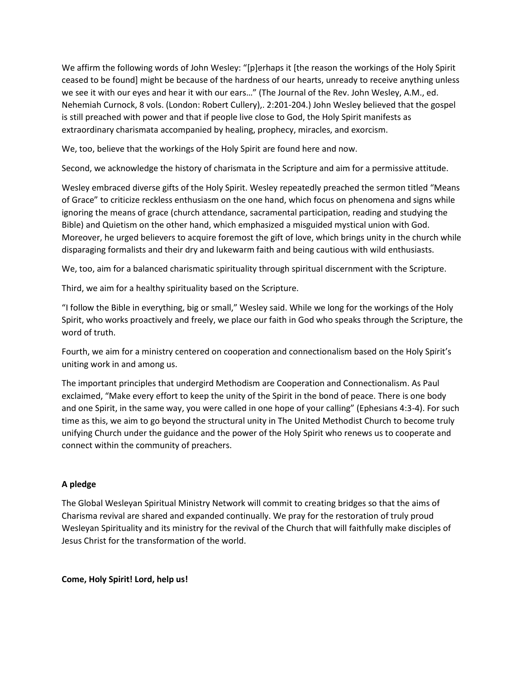We affirm the following words of John Wesley: "[p]erhaps it [the reason the workings of the Holy Spirit ceased to be found] might be because of the hardness of our hearts, unready to receive anything unless we see it with our eyes and hear it with our ears…" (The Journal of the Rev. John Wesley, A.M., ed. Nehemiah Curnock, 8 vols. (London: Robert Cullery),. 2:201-204.) John Wesley believed that the gospel is still preached with power and that if people live close to God, the Holy Spirit manifests as extraordinary charismata accompanied by healing, prophecy, miracles, and exorcism.

We, too, believe that the workings of the Holy Spirit are found here and now.

Second, we acknowledge the history of charismata in the Scripture and aim for a permissive attitude.

Wesley embraced diverse gifts of the Holy Spirit. Wesley repeatedly preached the sermon titled "Means of Grace" to criticize reckless enthusiasm on the one hand, which focus on phenomena and signs while ignoring the means of grace (church attendance, sacramental participation, reading and studying the Bible) and Quietism on the other hand, which emphasized a misguided mystical union with God. Moreover, he urged believers to acquire foremost the gift of love, which brings unity in the church while disparaging formalists and their dry and lukewarm faith and being cautious with wild enthusiasts.

We, too, aim for a balanced charismatic spirituality through spiritual discernment with the Scripture.

Third, we aim for a healthy spirituality based on the Scripture.

"I follow the Bible in everything, big or small," Wesley said. While we long for the workings of the Holy Spirit, who works proactively and freely, we place our faith in God who speaks through the Scripture, the word of truth.

Fourth, we aim for a ministry centered on cooperation and connectionalism based on the Holy Spirit's uniting work in and among us.

The important principles that undergird Methodism are Cooperation and Connectionalism. As Paul exclaimed, "Make every effort to keep the unity of the Spirit in the bond of peace. There is one body and one Spirit, in the same way, you were called in one hope of your calling" (Ephesians 4:3-4). For such time as this, we aim to go beyond the structural unity in The United Methodist Church to become truly unifying Church under the guidance and the power of the Holy Spirit who renews us to cooperate and connect within the community of preachers.

## **A pledge**

The Global Wesleyan Spiritual Ministry Network will commit to creating bridges so that the aims of Charisma revival are shared and expanded continually. We pray for the restoration of truly proud Wesleyan Spirituality and its ministry for the revival of the Church that will faithfully make disciples of Jesus Christ for the transformation of the world.

**Come, Holy Spirit! Lord, help us!**